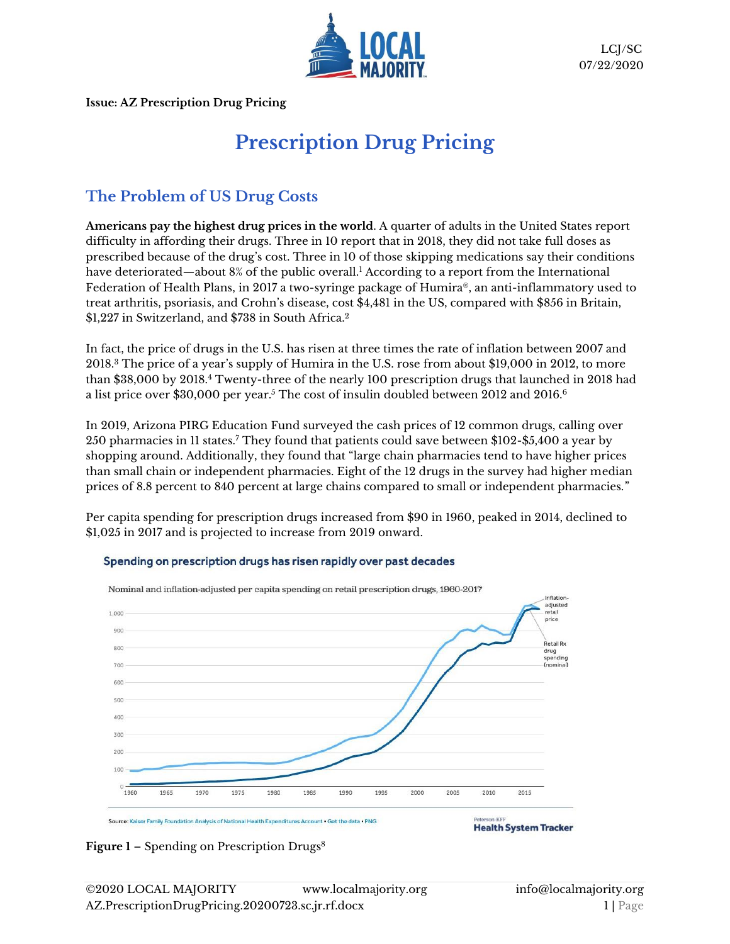

**Issue: AZ Prescription Drug Pricing** 

# **Prescription Drug Pricing**

# **The Problem of US Drug Costs**

**Americans pay the highest drug prices in the world**. A quarter of adults in the United States report difficulty in affording their drugs. Three in 10 report that in 2018, they did not take full doses as prescribed because of the drug's cost. Three in 10 of those skipping medications say their conditions have deteriorated—about 8% of the public overall.<sup>1</sup> According to a [report](https://static1.squarespace.com/static/518a3cfee4b0a77d03a62c98/t/57d3ca9529687f1a257e9e26/1473497751062/2015+Comparative+Price+Report+09.09.16.pdf) from the International Federation of Health Plans, in 2017 a two-syringe package of Humira®, an anti-inflammatory used to treat arthritis, psoriasis, and Crohn's disease, cost \$4,481 in the US, compared with \$856 in Britain, \$1,227 in Switzerland, and \$738 in South Africa.<sup>2</sup>

In fact, the price of drugs in the U.S. has risen at three times the rate of inflation between 2007 and 2018. <sup>3</sup> The price of a year's supply of Humira in the U.S. rose from about \$19,000 in 2012, to more than \$38,000 by 2018.<sup>4</sup> Twenty-three of the nearly 100 prescription drugs that launched in 2018 had a list price over  $\$30,\!000$  per year. $^5$  The cost of insulin doubled between  $2012$  and  $2016.^6$ 

In 2019, Arizona PIRG Education Fund surveyed the cash prices of 12 common drugs, calling over 250 pharmacies in 11 states.<sup>7</sup> They found that patients could save between \$102-\$5,400 a year by shopping around. Additionally, they found that "large chain pharmacies tend to have higher prices than small chain or independent pharmacies. Eight of the 12 drugs in the survey had higher median prices of 8.8 percent to 840 percent at large chains compared to small or independent pharmacies."

Per capita spending for prescription drugs increased from \$90 in 1960, peaked in 2014, declined to \$1,025 in 2017 and is projected to increase from 2019 onward.

#### Nominal and inflation-adjusted per capita spending on retail prescription drugs, 1960-2017 Inflation adjusted retail 1,000 price 900 Retail Rx 800 drug<br>spending 700 (nominal) 600 500 400 300 200 100 1960 1965 1970 1975 1980 1985 1990 1995 2000 2005 2010 2015 Source: Kaiser Family Foundation Analysis of National Health Expenditures Account . Get the data . PNG **Health System Tracker**

#### Spending on prescription drugs has risen rapidly over past decades

Figure 1 – Spending on Prescription Drugs<sup>8</sup>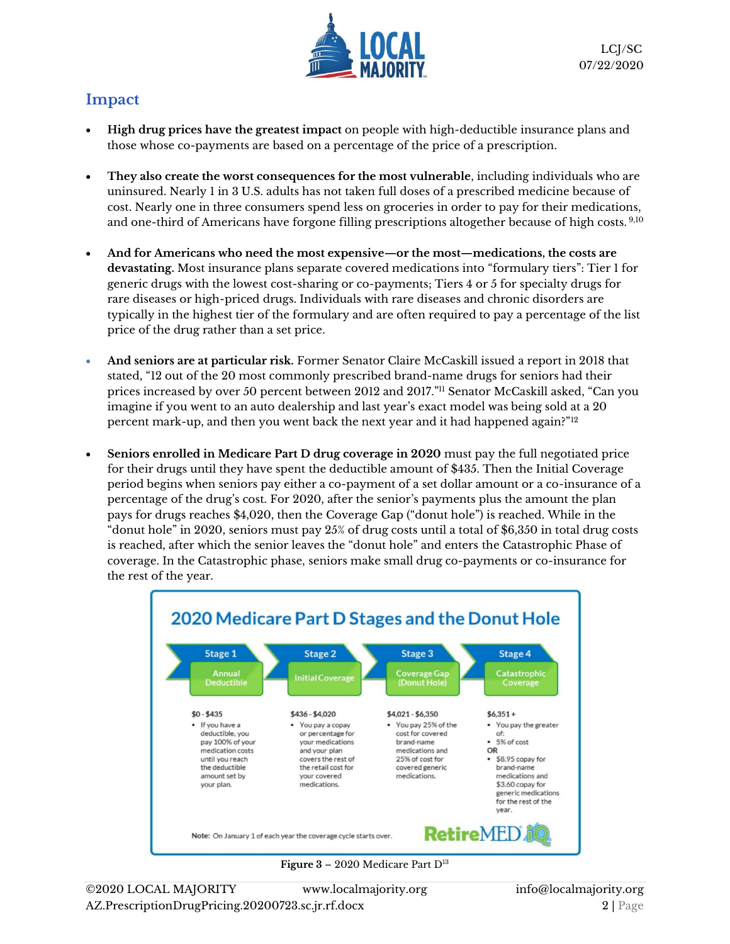

# **Impact**

- **High drug prices have the greatest impact** on people with high-deductible insurance plans and those whose co-payments are based on a percentage of the price of a prescription.
- **They also create the worst consequences for the most vulnerable**, including individuals who are uninsured. Nearly 1 in 3 U.S. adults has not taken full doses of a prescribed medicine because of cost. Nearly one in three consumers spend less on groceries in order to pay for their medications, and one-third of Americans have forgone filling prescriptions altogether because of high costs. 9,10
- **And for Americans who need the most expensive—or the most—medications, the costs are devastating.** Most insurance plans separate covered medications into "formulary tiers": Tier 1 for generic drugs with the lowest cost-sharing or co-payments; Tiers 4 or 5 for specialty drugs for rare diseases or high-priced drugs. Individuals with rare diseases and chronic disorders are typically in the highest tier of the formulary and are often required to pay a percentage of the list price of the drug rather than a set price.
- **And seniors are at particular risk.** Former Senator Claire McCaskill issued a report in 2018 that stated, "12 out of the 20 most commonly prescribed brand-name drugs for seniors had their prices increased by over 50 percent between 2012 and 2017."<sup>11</sup> Senator McCaskill asked, "Can you imagine if you went to an auto dealership and last year's exact model was being sold at a 20 percent mark-up, and then you went back the next year and it had happened again?"<sup>12</sup>
- **Seniors enrolled in Medicare Part D drug coverage in 2020** must pay the full negotiated price for their drugs until they have spent the deductible amount of \$435. Then the Initial Coverage period begins when seniors pay either a co-payment of a set dollar amount or a co-insurance of a percentage of the drug's cost. For 2020, after the senior's payments plus the amount the plan pays for drugs reaches \$4,020, then the Coverage Gap ("donut hole") is reached. While in the "donut hole" in 2020, seniors must pay 25% of drug costs until a total of \$6,350 in total drug costs is reached, after which the senior leaves the "donut hole" and enters the Catastrophic Phase of coverage. In the Catastrophic phase, seniors make small drug co-payments or co-insurance for the rest of the year.



**Figure 3** – 2020 Medicare Part D<sup>13</sup>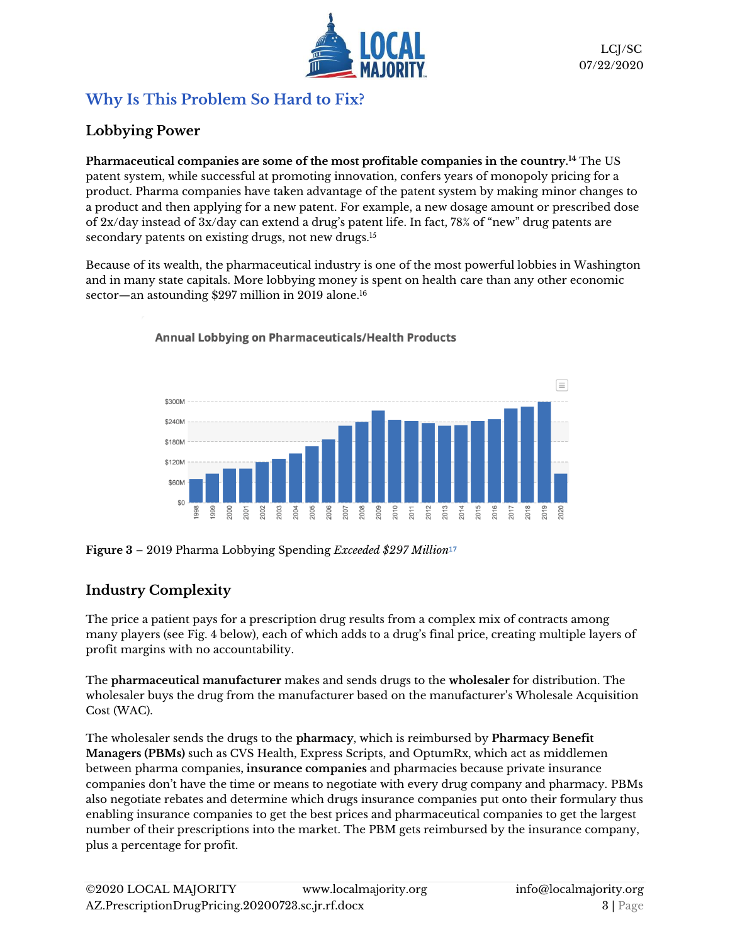

# **Why Is This Problem So Hard to Fix?**

# **Lobbying Power**

**Pharmaceutical companies are some of the most profitable companies in the country.<sup>14</sup>** The US patent system, while successful at promoting innovation, confers years of monopoly pricing for a product. Pharma companies have taken advantage of the patent system by making minor changes to a product and then applying for a new patent. For example, a new dosage amount or prescribed dose of 2x/day instead of 3x/day can extend a drug's patent life. In fact, 78% of "new" drug patents are secondary patents on existing drugs, not new drugs. 15

Because of its wealth, the pharmaceutical industry is one of the most powerful lobbies in Washington and in many state capitals. More lobbying money is spent on health care than any other economic sector—an astounding \$297 million in 2019 alone. 16



**Annual Lobbying on Pharmaceuticals/Health Products** 

#### **Figure 3** – 2019 Pharma Lobbying Spending *Exceeded \$297 Million*<sup>17</sup>

# **Industry Complexity**

The price a patient pays for a prescription drug results from a complex mix of contracts among many players (see Fig. 4 below), each of which adds to a drug's final price, creating multiple layers of profit margins with no accountability.

The **pharmaceutical manufacturer** makes and sends drugs to the **wholesaler** for distribution. The wholesaler buys the drug from the manufacturer based on the manufacturer's Wholesale Acquisition Cost (WAC).

The wholesaler sends the drugs to the **pharmacy**, which is reimbursed by **Pharmacy Benefit Managers (PBMs)** such as CVS Health, Express Scripts, and OptumRx, which act as middlemen between pharma companies**, insurance companies** and pharmacies because private insurance companies don't have the time or means to negotiate with every drug company and pharmacy. PBMs also negotiate rebates and determine which drugs insurance companies put onto their formulary thus enabling insurance companies to get the best prices and pharmaceutical companies to get the largest number of their prescriptions into the market. The PBM gets reimbursed by the insurance company, plus a percentage for profit.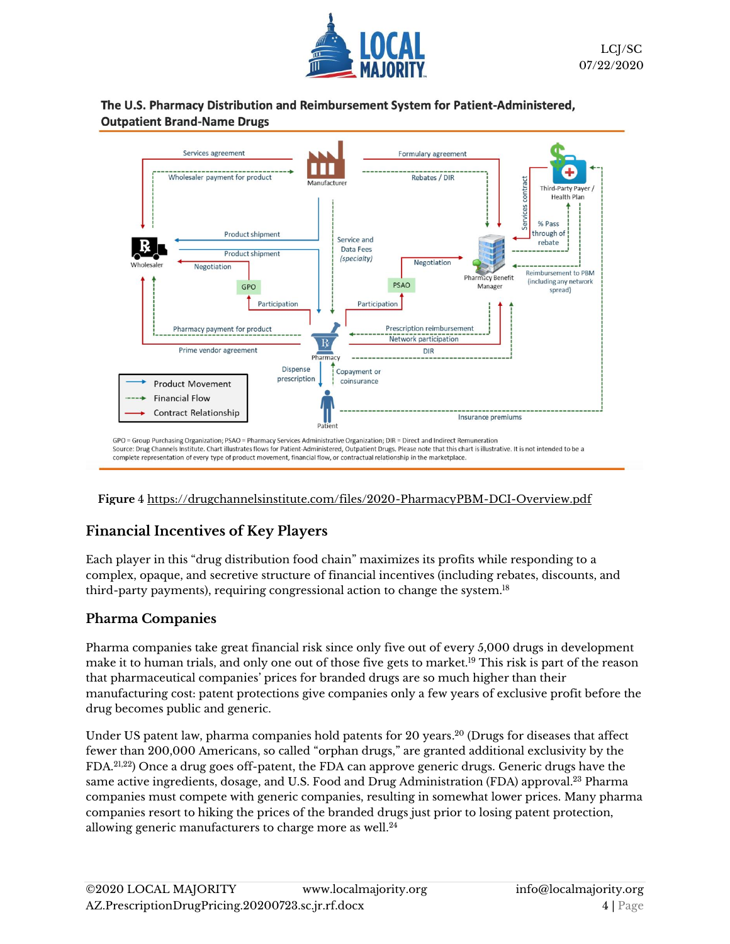

#### The U.S. Pharmacy Distribution and Reimbursement System for Patient-Administered, **Outpatient Brand-Name Drugs**



#### **Figure** 4 <https://drugchannelsinstitute.com/files/2020-PharmacyPBM-DCI-Overview.pdf>

#### **Financial Incentives of Key Players**

Each player in this "drug distribution food chain" maximizes its profits while responding to a complex, opaque, and secretive structure of financial incentives (including rebates, discounts, and third-party payments), requiring congressional action to change the system. $^{18}$ 

#### **Pharma Companies**

Pharma companies take great financial risk since only five out of every 5,000 drugs in development make it to human trials, and only one out of those five gets to market.<sup>19</sup> This risk is part of the reason that pharmaceutical companies' prices for branded drugs are so much higher than their manufacturing cost: patent protections give companies only a few years of exclusive profit before the drug becomes public and generic.

Under US patent law, pharma companies hold patents for 20 years. <sup>20</sup> (Drugs for diseases that affect fewer than 200,000 Americans, so called "orphan drugs," are granted additional exclusivity by the FDA. 21,22) Once a drug goes off-patent, the FDA can approve generic drugs. Generic drugs have the same active ingredients, dosage, and U.S. Food and Drug Administration (FDA) approval. $^{23}$  Pharma companies must compete with generic companies, resulting in somewhat lower prices. Many pharma companies resort to hiking the prices of the branded drugs just prior to losing patent protection, allowing generic manufacturers to charge more as well. 24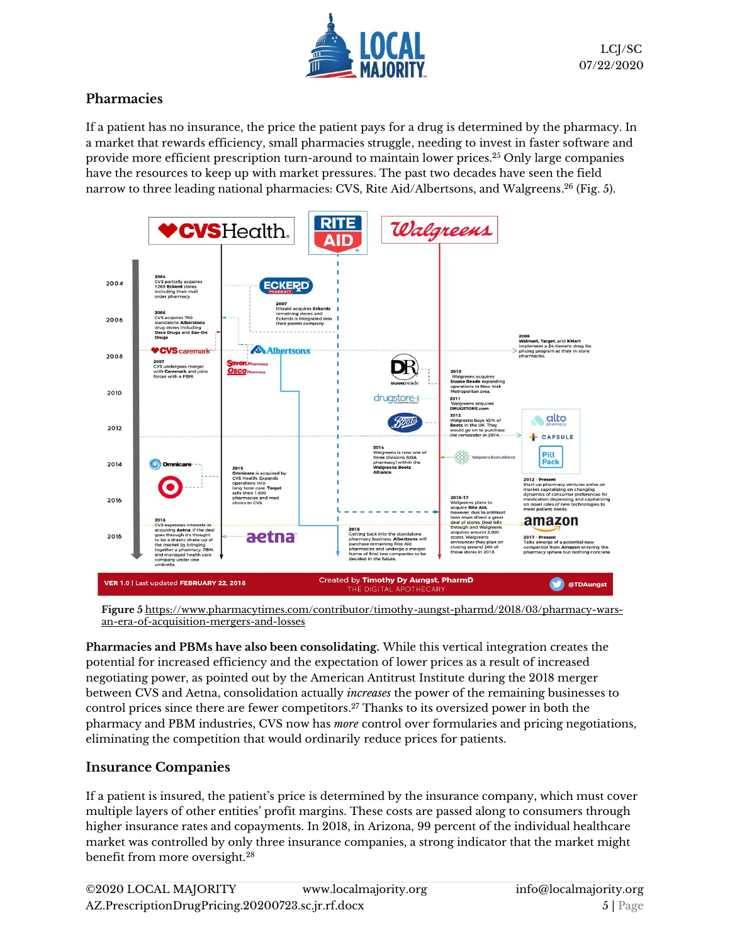

#### **Pharmacies**

If a patient has no insurance, the price the patient pays for a drug is determined by the pharmacy. In a market that rewards efficiency, small pharmacies struggle, needing to invest in faster software and provide more efficient prescription turn-around to maintain lower prices.<sup>25</sup> Only large companies have the resources to keep up with market pressures. The past two decades have seen the field narrow to three leading national pharmacies: CVS, Rite Aid/Albertsons, and Walgreens. <sup>26</sup> (Fig. 5).



**Figure 5** [https://www.pharmacytimes.com/contributor/timothy-aungst-pharmd/2018/03/pharmacy-wars](https://www.pharmacytimes.com/contributor/timothy-aungst-pharmd/2018/03/pharmacy-wars-an-era-of-acquisition-mergers-and-losses)[an-era-of-acquisition-mergers-and-losses](https://www.pharmacytimes.com/contributor/timothy-aungst-pharmd/2018/03/pharmacy-wars-an-era-of-acquisition-mergers-and-losses)

**Pharmacies and PBMs have also been consolidating.** While this vertical integration creates the potential for increased efficiency and the expectation of lower prices as a result of increased negotiating power, as pointed out by the American Antitrust Institute during the 2018 merger between CVS and Aetna, consolidation actually *increases* the power of the remaining businesses to control prices since there are fewer competitors. <sup>27</sup> Thanks to its oversized power in both the pharmacy and PBM industries, CVS now has *more* control over formularies and pricing negotiations, eliminating the competition that would ordinarily reduce prices for patients.

#### **Insurance Companies**

If a patient is insured, the patient's price is determined by the insurance company, which must cover multiple layers of other entities' profit margins. These costs are passed along to consumers through higher insurance rates and copayments. In 2018, in Arizona, 99 percent of the individual healthcare market was controlled by only three insurance companies, a strong indicator that the market might benefit from more oversight.<sup>28</sup>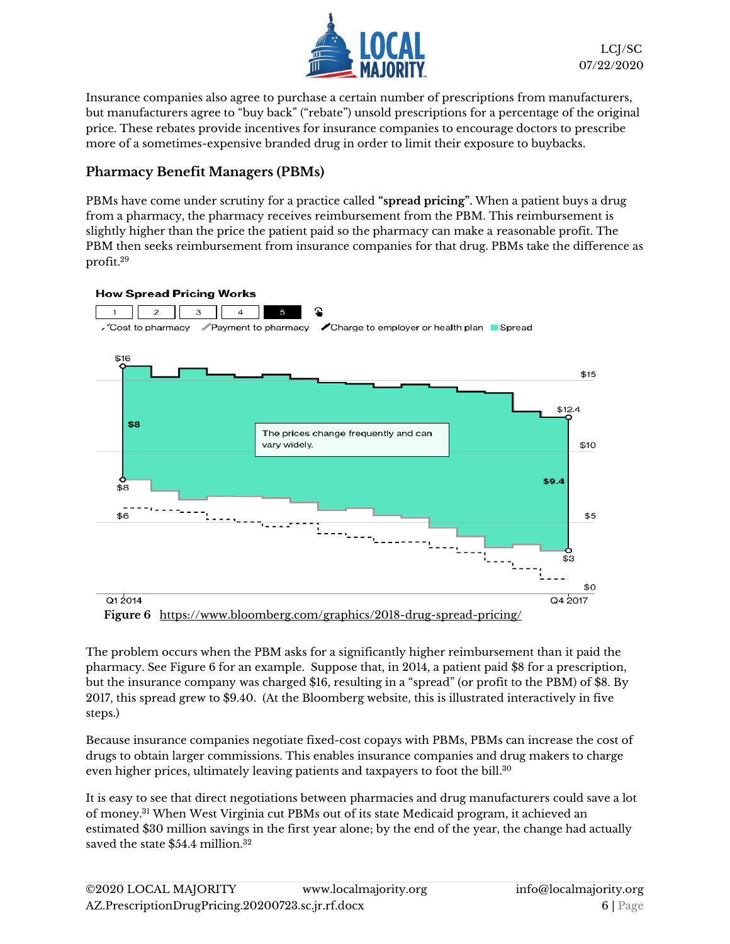

Insurance companies also agree to purchase a certain number of prescriptions from manufacturers, but manufacturers agree to "buy back" ("rebate") unsold prescriptions for a percentage of the original price. These rebates provide incentives for insurance companies to encourage doctors to prescribe more of a sometimes-expensive branded drug in order to limit their exposure to buybacks.

#### **Pharmacy Benefit Managers (PBMs)**

PBMs have come under scrutiny for a practice called **"spread pricing".** When a patient buys a drug from a pharmacy, the pharmacy receives reimbursement from the PBM. This reimbursement is slightly higher than the price the patient paid so the pharmacy can make a reasonable profit. The PBM then seeks reimbursement from insurance companies for that drug. PBMs take the difference as profit.<sup>29</sup>



The problem occurs when the PBM asks for a significantly higher reimbursement than it paid the pharmacy. See Figure 6 for an example. Suppose that, in 2014, a patient paid \$8 for a prescription, but the insurance company was charged \$16, resulting in a "spread" (or profit to the PBM) of \$8. By 2017, this spread grew to \$9.40. (At the Bloomberg website, this is illustrated interactively in five steps.)

Because insurance companies negotiate fixed-cost copays with PBMs, PBMs can increase the cost of drugs to obtain larger commissions. This enables insurance companies and drug makers to charge even higher prices, ultimately leaving patients and taxpayers to foot the bill.<sup>30</sup>

It is easy to see that direct negotiations between pharmacies and drug manufacturers could save a lot of money.<sup>31</sup> When West Virginia cut PBMs out of its state Medicaid program, it achieved an estimated \$30 million savings in the first year alone; by the end of the year, the change had actually saved the state \$54.4 million.<sup>32</sup>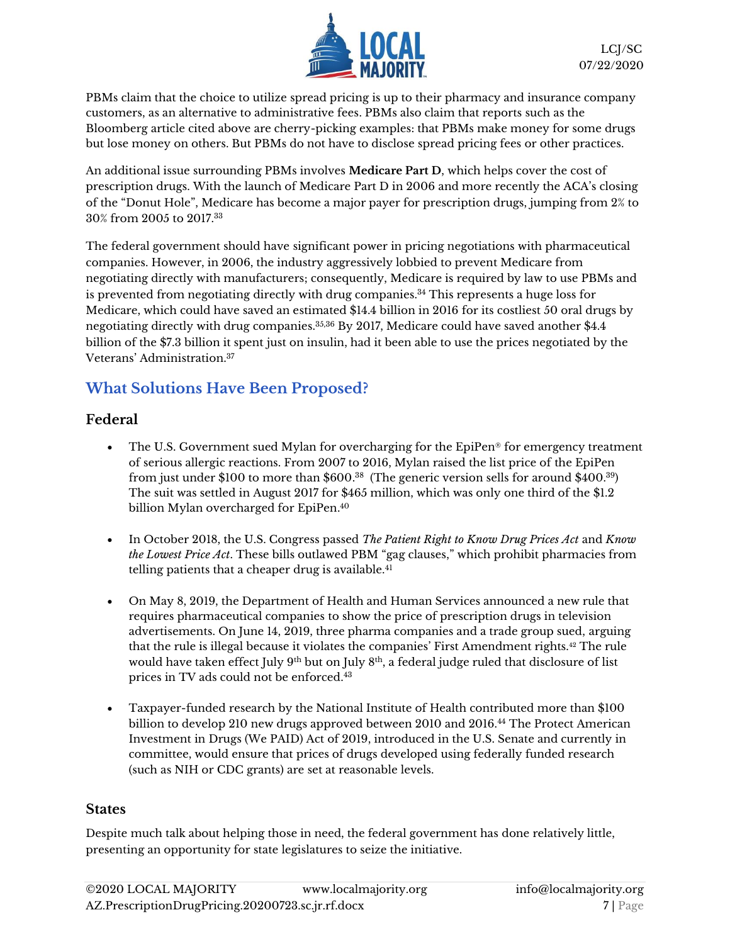

PBMs claim that the choice to utilize spread pricing is up to their pharmacy and insurance company customers, as an alternative to administrative fees. PBMs also claim that reports such as the Bloomberg article cited above are cherry-picking examples: that PBMs make money for some drugs but lose money on others. But PBMs do not have to disclose spread pricing fees or other practices.

An additional issue surrounding PBMs involves **Medicare Part D**, which helps cover the cost of prescription drugs. With the launch of Medicare Part D in 2006 and more recently the ACA's closing of the "Donut Hole", Medicare has become a major payer for prescription drugs, jumping from 2% to 30% from 2005 to 2017.<sup>33</sup>

The federal government should have significant power in pricing negotiations with pharmaceutical companies. However, in 2006, the industry aggressively lobbied to prevent Medicare from negotiating directly with manufacturers; consequently, Medicare is required by law to use PBMs and is prevented from negotiating directly with drug companies.<sup>34</sup> This represents a huge loss for Medicare, which could have saved an estimated \$14.4 billion in 2016 for its costliest 50 oral drugs by negotiating directly with drug companies. $^{35,36}$  By 2017, Medicare could have saved another \$4.4  $\,$ billion of the \$7.3 billion it spent just on insulin, had it been able to use the prices negotiated by the Veterans' Administration.<sup>37</sup>

# **What Solutions Have Been Proposed?**

#### **Federal**

- The U.S. Government sued Mylan for overcharging for the EpiPen<sup>®</sup> for emergency treatment of serious allergic reactions. From 2007 to 2016, Mylan raised the list price of the EpiPen from just under \$100 to more than \$600. $^{\rm 38}$  (The generic version sells for around \$400. $^{\rm 39}$ ) The suit was settled in August 2017 for \$465 million, which was only one third of the \$1.2 billion Mylan overcharged for EpiPen. 40
- In October 2018, the U.S. Congress passed *The Patient Right to Know Drug Prices Act* and *Know the Lowest Price Act*. These bills outlawed PBM "gag clauses," which prohibit pharmacies from telling patients that a cheaper drug is available.<sup>41</sup>
- On May 8, 2019, the Department of Health and Human Services announced a new rule that requires pharmaceutical companies to show the price of prescription drugs in television advertisements. On June 14, 2019, three pharma companies and a trade group sued, arguing that the rule is illegal because it violates the companies' First Amendment rights.<sup>42</sup> The rule would have taken effect July 9<sup>th</sup> but on July 8<sup>th</sup>, a federal judge ruled that disclosure of list prices in TV ads could not be enforced.<sup>43</sup>
- Taxpayer-funded research by the National Institute of Health contributed more than \$100 billion to develop 210 new drugs approved between 2010 and 2016.<sup>44</sup> The Protect American Investment in Drugs (We PAID) Act of 2019, introduced in the U.S. Senate and currently in committee, would ensure that prices of drugs developed using federally funded research (such as NIH or CDC grants) are set at reasonable levels.

#### **States**

Despite much talk about helping those in need, the federal government has done relatively little, presenting an opportunity for state legislatures to seize the initiative.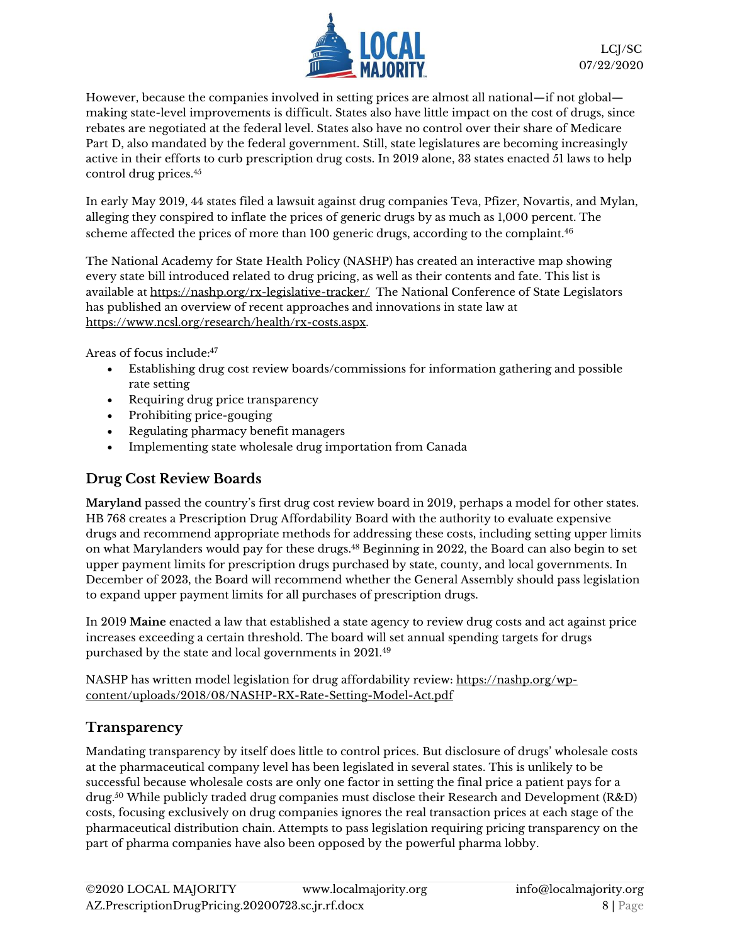

However, because the companies involved in setting prices are almost all national—if not global making state-level improvements is difficult. States also have little impact on the cost of drugs, since rebates are negotiated at the federal level. States also have no control over their share of Medicare Part D, also mandated by the federal government. Still, state legislatures are becoming increasingly active in their efforts to curb prescription drug costs. In 2019 alone, 33 states enacted 51 laws to help control drug prices.<sup>45</sup>

In early May 2019, 44 states filed a lawsuit against drug companies Teva, Pfizer, Novartis, and Mylan, alleging they conspired to inflate the prices of generic drugs by as much as 1,000 percent. The scheme affected the prices of more than 100 generic drugs, according to the complaint.<sup>46</sup>

The National Academy for State Health Policy (NASHP) has created an interactive map showing every state bill introduced related to drug pricing, as well as their contents and fate. This list is available at<https://nashp.org/rx-legislative-tracker/>The National Conference of State Legislators has published an overview of recent approaches and innovations in state law at [https://www.ncsl.org/research/health/rx-costs.aspx.](https://www.ncsl.org/research/health/rx-costs.aspx)

Areas of focus include:<sup>47</sup>

- Establishing drug cost review boards/commissions for information gathering and possible rate setting
- Requiring drug price transparency
- Prohibiting price-gouging
- Regulating pharmacy benefit managers
- Implementing state wholesale drug importation from Canada

#### **Drug Cost Review Boards**

**Maryland** passed the country's first drug cost review board in 2019, perhaps a model for other states. HB 768 creates a Prescription Drug Affordability Board with the authority to evaluate expensive drugs and recommend appropriate methods for addressing these costs, including setting upper limits on what Marylanders would pay for these drugs.<sup>48</sup> Beginning in 2022, the Board can also begin to set upper payment limits for prescription drugs purchased by state, county, and local governments. In December of 2023, the Board will recommend whether the General Assembly should pass legislation to expand upper payment limits for all purchases of prescription drugs.

In 2019 **Maine** enacted a law that established a state agency to review drug costs and act against price increases exceeding a certain threshold. The board will set annual spending targets for drugs purchased by the state and local governments in 2021.<sup>49</sup>

NASHP has written model legislation for drug affordability review[: https://nashp.org/wp](https://nashp.org/wp-content/uploads/2018/08/NASHP-RX-Rate-Setting-Model-Act.pdf)[content/uploads/2018/08/NASHP-RX-Rate-Setting-Model-Act.pdf](https://nashp.org/wp-content/uploads/2018/08/NASHP-RX-Rate-Setting-Model-Act.pdf)

#### **Transparency**

Mandating transparency by itself does little to control prices. But disclosure of drugs' wholesale costs at the pharmaceutical company level has been legislated in several states. This is unlikely to be successful because wholesale costs are only one factor in setting the final price a patient pays for a drug. <sup>50</sup> While publicly traded drug companies must disclose their Research and Development (R&D) costs, focusing exclusively on drug companies ignores the real transaction prices at each stage of the pharmaceutical distribution chain. Attempts to pass legislation requiring pricing transparency on the part of pharma companies have also been opposed by the powerful pharma lobby.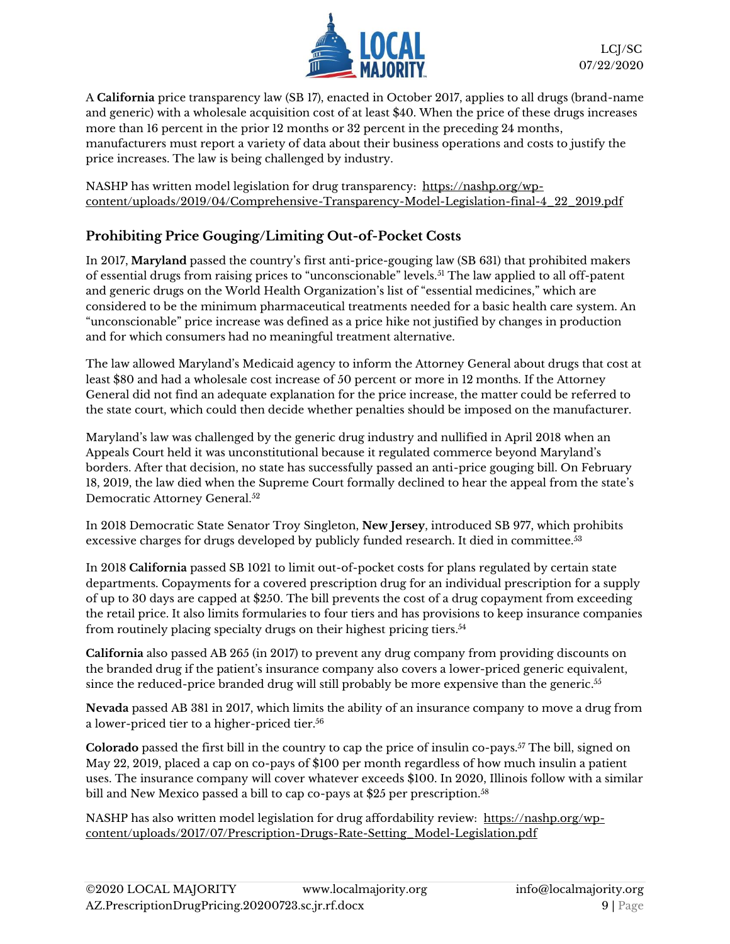

LCJ/SC 07/22/2020

A **California** price transparency law (SB 17), enacted in October 2017, applies to all drugs (brand-name and generic) with a wholesale acquisition cost of at least \$40. When the price of these drugs increases more than 16 percent in the prior 12 months or 32 percent in the preceding 24 months, manufacturers must report a variety of data about their business operations and costs to justify the price increases. The law is being challenged by industry.

NASHP has written model legislation for drug transparency: [https://nashp.org/wp](https://nashp.org/wp-content/uploads/2019/04/Comprehensive-Transparency-Model-Legislation-final-4_22_2019.pdf)[content/uploads/2019/04/Comprehensive-Transparency-Model-Legislation-final-4\\_22\\_2019.pdf](https://nashp.org/wp-content/uploads/2019/04/Comprehensive-Transparency-Model-Legislation-final-4_22_2019.pdf)

### **Prohibiting Price Gouging/Limiting Out-of-Pocket Costs**

In 2017, **Maryland** passed the country's first anti-price-gouging law (SB 631) that prohibited makers of essential drugs from raising prices to "unconscionable" levels.<sup>51</sup> The law applied to all off-patent and generic drugs on the World Health Organization's list of "essential medicines," which are considered to be the minimum pharmaceutical treatments needed for a basic health care system. An "unconscionable" price increase was defined as a price hike not justified by changes in production and for which consumers had no meaningful treatment alternative.

The law allowed Maryland's Medicaid agency to inform the Attorney General about drugs that cost at least \$80 and had a wholesale cost increase of 50 percent or more in 12 months. If the Attorney General did not find an adequate explanation for the price increase, the matter could be referred to the state court, which could then decide whether penalties should be imposed on the manufacturer.

Maryland's law was challenged by the generic drug industry and nullified in April 2018 when an Appeals Court held it was unconstitutional because it regulated commerce beyond Maryland's borders. After that decision, no state has successfully passed an anti-price gouging bill. On February 18, 2019, the law died when the Supreme Court formally declined to hear the appeal from the state's Democratic Attorney General.<sup>52</sup>

In 2018 Democratic State Senator Troy Singleton, **New Jersey**, introduced SB 977, which prohibits excessive charges for drugs developed by publicly funded research. It died in committee.<sup>53</sup>

In 2018 **California** passed SB 1021 to limit out-of-pocket costs for plans regulated by certain state departments. Copayments for a covered prescription drug for an individual prescription for a supply of up to 30 days are capped at \$250. The bill prevents the cost of a drug copayment from exceeding the retail price. It also limits formularies to four tiers and has provisions to keep insurance companies from routinely placing specialty drugs on their highest pricing tiers. 54

**California** also passed AB 265 (in 2017) to prevent any drug company from providing discounts on the branded drug if the patient's insurance company also covers a lower-priced generic equivalent, since the reduced-price branded drug will still probably be more expensive than the generic. 55

**Nevada** passed AB 381 in 2017, which limits the ability of an insurance company to move a drug from a lower-priced tier to a higher-priced tier.<sup>56</sup>

**Colorado** passed the first bill in the country to cap the price of insulin co-pays.<sup>57</sup> The bill, signed on May 22, 2019, placed a cap on co-pays of \$100 per month regardless of how much insulin a patient uses. The insurance company will cover whatever exceeds \$100. In 2020, Illinois follow with a similar bill and New Mexico passed a bill to cap co-pays at \$25 per prescription.<sup>58</sup>

NASHP has also written model legislation for drug affordability review: [https://nashp.org/wp](https://nashp.org/wp-content/uploads/2017/07/Prescription-Drugs-Rate-Setting_Model-Legislation.pdf)[content/uploads/2017/07/Prescription-Drugs-Rate-Setting\\_Model-Legislation.pdf](https://nashp.org/wp-content/uploads/2017/07/Prescription-Drugs-Rate-Setting_Model-Legislation.pdf)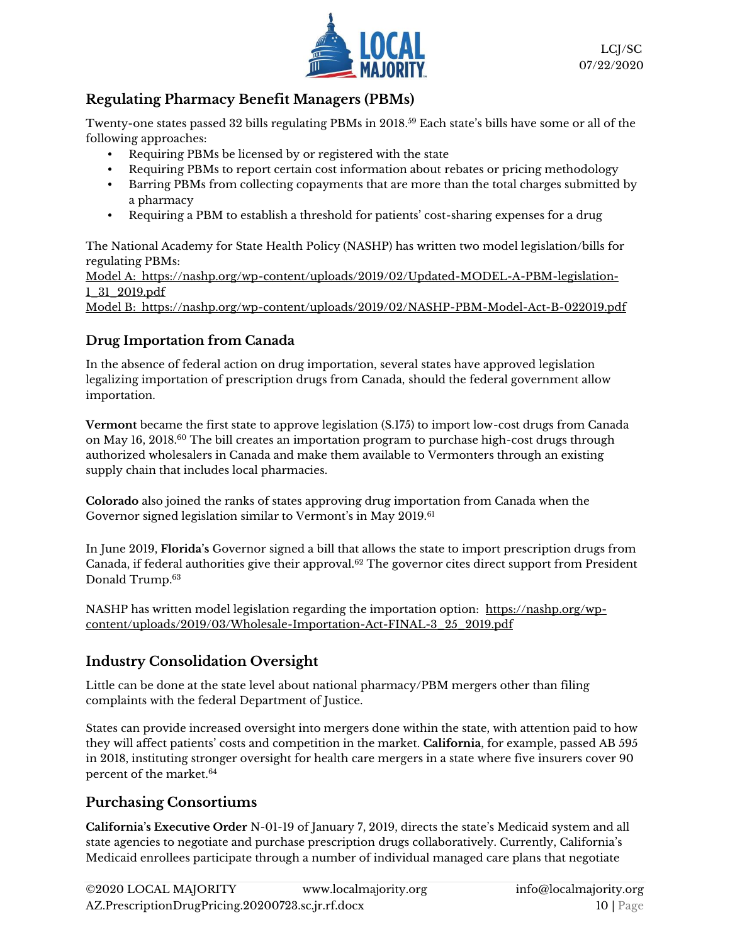

### **Regulating Pharmacy Benefit Managers (PBMs)**

Twenty-one states passed 32 bills regulating PBMs in 2018. <sup>59</sup> Each state's bills have some or all of the following approaches:

- Requiring PBMs be licensed by or registered with the state
- Requiring PBMs to report certain cost information about rebates or pricing methodology
- Barring PBMs from collecting copayments that are more than the total charges submitted by a pharmacy
- Requiring a PBM to establish a threshold for patients' cost-sharing expenses for a drug

The National Academy for State Health Policy (NASHP) has written two model legislation/bills for regulating PBMs: Model A: [https://nashp.org/wp-content/uploads/2019/02/Updated-MODEL-A-PBM-legislation-](https://nashp.org/wp-content/uploads/2019/02/Updated-MODEL-A-PBM-legislation-1_31_2019.pdf)[1\\_31\\_2019.pdf](https://nashp.org/wp-content/uploads/2019/02/Updated-MODEL-A-PBM-legislation-1_31_2019.pdf)

Model B: <https://nashp.org/wp-content/uploads/2019/02/NASHP-PBM-Model-Act-B-022019.pdf>

# **Drug Importation from Canada**

In the absence of federal action on drug importation, several states have approved legislation legalizing importation of prescription drugs from Canada, should the federal government allow importation.

**Vermont** became the first state to approve legislation (S.175) to import low-cost drugs from Canada on May 16, 2018.<sup>60</sup> The bill creates an importation program to purchase high-cost drugs through authorized wholesalers in Canada and make them available to Vermonters through an existing supply chain that includes local pharmacies.

**Colorado** also joined the ranks of states approving drug importation from Canada when the Governor signed legislation similar to Vermont's in May 2019.<sup>61</sup>

In June 2019, **Florida's** Governor signed a bill that allows the state to import prescription drugs from Canada, if federal authorities give their approval.<sup>62</sup> The governor cites direct support from President Donald Trump.<sup>63</sup>

NASHP has written model legislation regarding the importation option: [https://nashp.org/wp](https://nashp.org/wp-content/uploads/2019/03/Wholesale-Importation-Act-FINAL-3_25_2019.pdf)[content/uploads/2019/03/Wholesale-Importation-Act-FINAL-3\\_25\\_2019.pdf](https://nashp.org/wp-content/uploads/2019/03/Wholesale-Importation-Act-FINAL-3_25_2019.pdf)

# **Industry Consolidation Oversight**

Little can be done at the state level about national pharmacy/PBM mergers other than filing complaints with the federal Department of Justice.

States can provide increased oversight into mergers done within the state, with attention paid to how they will affect patients' costs and competition in the market. **California**, for example, passed AB 595 in 2018, instituting stronger oversight for health care mergers in a state where five insurers cover 90 percent of the market.<sup>64</sup>

#### **Purchasing Consortiums**

**California's Executive Order** N-01-19 of January 7, 2019, directs the state's Medicaid system and all state agencies to negotiate and purchase prescription drugs collaboratively. Currently, California's Medicaid enrollees participate through a number of individual managed care plans that negotiate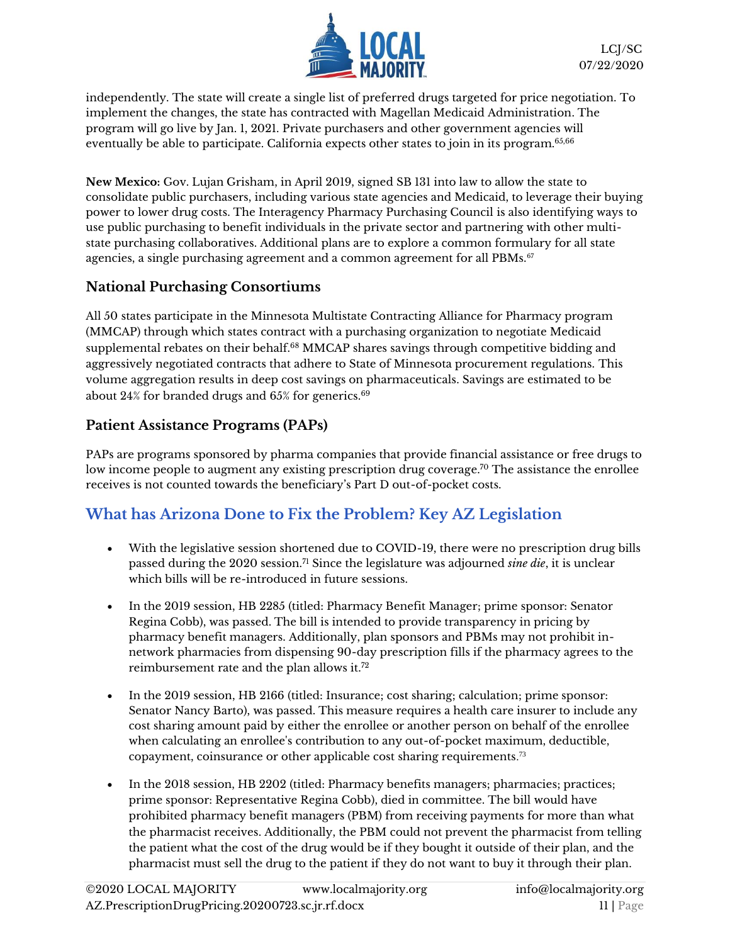

independently. The state will create a single list of preferred drugs targeted for price negotiation. To implement the changes, the state has contracted with Magellan Medicaid Administration. The program will go live by Jan. 1, 2021. Private purchasers and other government agencies will eventually be able to participate. California expects other states to join in its program.<sup>65,66</sup>

**New Mexico:** Gov. Lujan Grisham, in April 2019, signe[d SB 131](https://www.nmlegis.gov/Sessions/19%2520Regular/final/SB0131.pdf) into law to allow the state to consolidate public purchasers, including various state agencies and Medicaid, to leverage their buying power to lower drug costs. The Interagency Pharmacy Purchasing Council is also identifying ways to use public purchasing to benefit individuals in the private sector and partnering with other multistate purchasing collaboratives. Additional plans are to explore a common formulary for all state agencies, a single purchasing agreement and a common agreement for all PBMs.<sup>67</sup>

#### **National Purchasing Consortiums**

All 50 states participate in the Minnesota Multistate Contracting Alliance for Pharmacy program (MMCAP) through which states contract with a purchasing organization to negotiate Medicaid supplemental rebates on their behalf.<sup>68</sup> MMCAP shares savings through competitive bidding and aggressively negotiated contracts that adhere to State of Minnesota procurement regulations. This volume aggregation results in deep cost savings on pharmaceuticals. Savings are estimated to be about  $24%$  for branded drugs and  $65%$  for generics.<sup>69</sup>

#### **Patient Assistance Programs (PAPs)**

PAPs are programs sponsored by pharma companies that provide financial assistance or free drugs to low income people to augment any existing prescription drug coverage.<sup>70</sup> The assistance the enrollee receives is not counted towards the beneficiary's Part D out-of-pocket costs.

# **What has Arizona Done to Fix the Problem? Key AZ Legislation**

- With the legislative session shortened due to COVID-19, there were no prescription drug bills passed during the 2020 session.<sup>71</sup> Since the legislature was adjourned *sine die*, it is unclear which bills will be re-introduced in future sessions.
- In the 2019 session, HB 2285 (titled: Pharmacy Benefit Manager; prime sponsor: Senator Regina Cobb), was passed. The bill is intended to provide transparency in pricing by pharmacy benefit managers. Additionally, plan sponsors and PBMs may not prohibit innetwork pharmacies from dispensing 90-day prescription fills if the pharmacy agrees to the reimbursement rate and the plan allows it.<sup>72</sup>
- In the 2019 session, HB 2166 (titled: Insurance; cost sharing; calculation; prime sponsor: Senator Nancy Barto), was passed. This measure requires a health care insurer to include any cost sharing amount paid by either the enrollee or another person on behalf of the enrollee when calculating an enrollee's contribution to any out-of-pocket maximum, deductible, copayment, coinsurance or other applicable cost sharing requirements. 73
- In the 2018 session, HB 2202 (titled: Pharmacy benefits managers; pharmacies; practices; prime sponsor: Representative Regina Cobb), died in committee. The bill would have prohibited pharmacy benefit managers (PBM) from receiving payments for more than what the pharmacist receives. Additionally, the PBM could not prevent the pharmacist from telling the patient what the cost of the drug would be if they bought it outside of their plan, and the pharmacist must sell the drug to the patient if they do not want to buy it through their plan.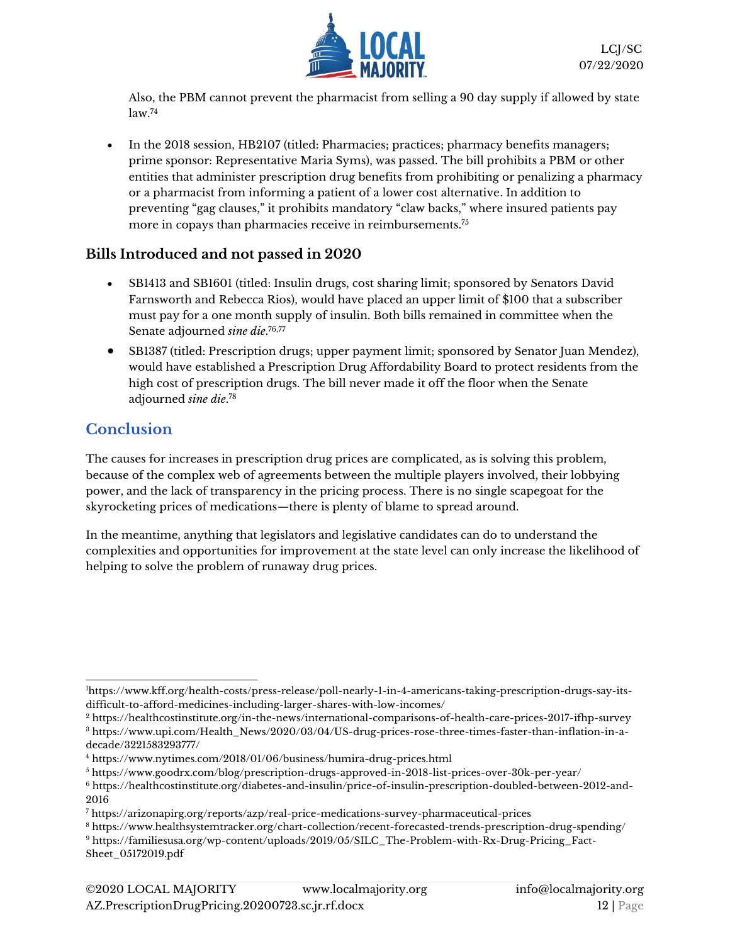

Also, the PBM cannot prevent the pharmacist from selling a 90 day supply if allowed by state law.<sup>74</sup>

• In the 2018 session, HB2107 (titled: Pharmacies; practices; pharmacy benefits managers; prime sponsor: Representative Maria Syms), was passed. The bill prohibits a PBM or other entities that administer prescription drug benefits from prohibiting or penalizing a pharmacy or a pharmacist from informing a patient of a lower cost alternative. In addition to preventing "gag clauses," it prohibits mandatory "claw backs," where insured patients pay more in copays than pharmacies receive in reimbursements.<sup>75</sup>

#### **Bills Introduced and not passed in 2020**

- SB1413 and SB1601 (titled: Insulin drugs, cost sharing limit; sponsored by Senators David Farnsworth and Rebecca Rios), would have placed an upper limit of \$100 that a subscriber must pay for a one month supply of insulin. Both bills remained in committee when the Senate adjourned *sine die*. 76,77
- SB1387 (titled: Prescription drugs; upper payment limit; sponsored by Senator Juan Mendez), would have established a Prescription Drug Affordability Board to protect residents from the high cost of prescription drugs. The bill never made it off the floor when the Senate adjourned *sine die*. 78

# **Conclusion**

The causes for increases in prescription drug prices are complicated, as is solving this problem, because of the complex web of agreements between the multiple players involved, their lobbying power, and the lack of transparency in the pricing process. There is no single scapegoat for the skyrocketing prices of medications—there is plenty of blame to spread around.

In the meantime, anything that legislators and legislative candidates can do to understand the complexities and opportunities for improvement at the state level can only increase the likelihood of helping to solve the problem of runaway drug prices.

<sup>1</sup>[https://www.kff.org/health-costs/press-release/poll-nearly-1-in-4-americans-taking-prescription-drugs-say-its](https://www.kff.org/health-costs/press-release/poll-nearly-1-in-4-americans-taking-prescription-drugs-say-its-difficult-to-afford-medicines-including-larger-shares-with-low-incomes/)[difficult-to-afford-medicines-including-larger-shares-with-low-incomes/](https://www.kff.org/health-costs/press-release/poll-nearly-1-in-4-americans-taking-prescription-drugs-say-its-difficult-to-afford-medicines-including-larger-shares-with-low-incomes/)

<sup>2</sup> https://healthcostinstitute.org/in-the-news/international-comparisons-of-health-care-prices-2017-ifhp-survey <sup>3</sup> [https://www.upi.com/Health\\_News/2020/03/04/US-drug-prices-rose-three-times-faster-than-inflation-in-a](https://www.upi.com/Health_News/2020/03/04/US-drug-prices-rose-three-times-faster-than-inflation-in-a-decade/3221583293777/)[decade/3221583293777/](https://www.upi.com/Health_News/2020/03/04/US-drug-prices-rose-three-times-faster-than-inflation-in-a-decade/3221583293777/)

<sup>4</sup> <https://www.nytimes.com/2018/01/06/business/humira-drug-prices.html>

<sup>5</sup> <https://www.goodrx.com/blog/prescription-drugs-approved-in-2018-list-prices-over-30k-per-year/>

<sup>6</sup> https://healthcostinstitute.org/diabetes-and-insulin/price-of-insulin-prescription-doubled-between-2012-and-2016

<sup>7</sup> <https://arizonapirg.org/reports/azp/real-price-medications-survey-pharmaceutical-prices>

<sup>8</sup> <https://www.healthsystemtracker.org/chart-collection/recent-forecasted-trends-prescription-drug-spending/>

<sup>9</sup> https://familiesusa.org/wp-content/uploads/2019/05/SILC\_The-Problem-with-Rx-Drug-Pricing\_Fact-Sheet\_05172019.pdf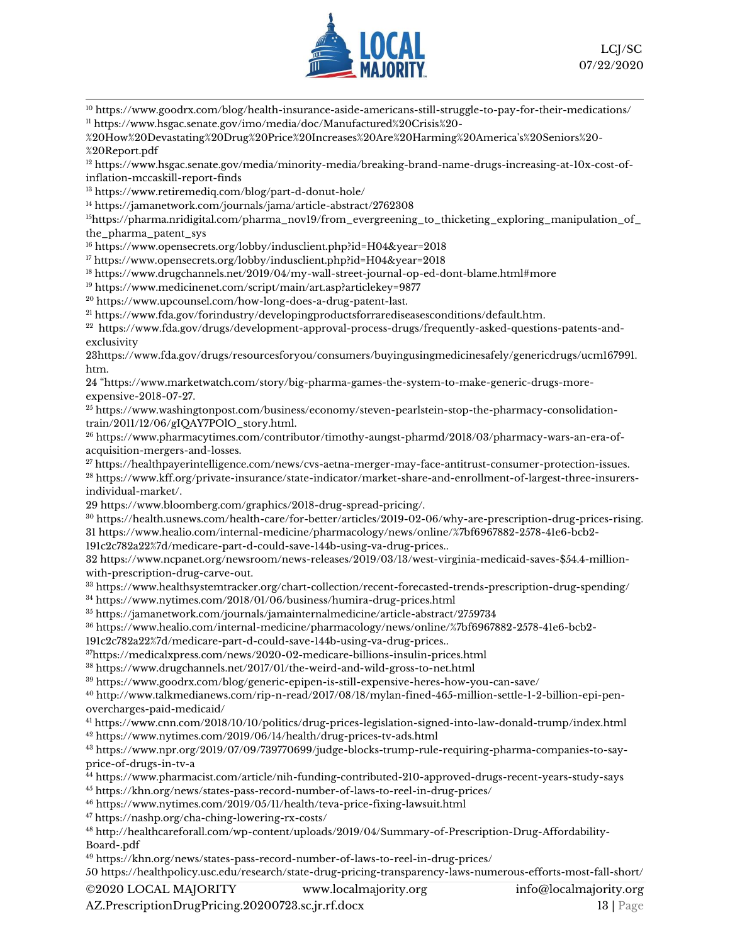

 https://www.goodrx.com/blog/health-insurance-aside-americans-still-struggle-to-pay-for-their-medications/ https://www.hsgac.senate.gov/imo/media/doc/Manufactured%20Crisis%20-

%20How%20Devastating%20Drug%20Price%20Increases%20Are%20Harming%20America's%20Seniors%20- %20Report.pdf

 [https://www.hsgac.senate.gov/media/minority-media/breaking-brand-name-drugs-increasing-at-10x-cost-of](https://www.hsgac.senate.gov/media/minority-media/breaking-brand-name-drugs-increasing-at-10x-cost-of-inflation-mccaskill-report-finds)[inflation-mccaskill-report-finds](https://www.hsgac.senate.gov/media/minority-media/breaking-brand-name-drugs-increasing-at-10x-cost-of-inflation-mccaskill-report-finds)

<https://www.retiremediq.com/blog/part-d-donut-hole/>

https://jamanetwork.com/journals/jama/article-abstract/2762308

https://pharma.nridigital.com/pharma\_nov19/from\_evergreening\_to\_thicketing\_exploring\_manipulation\_of\_ the\_pharma\_patent\_sys

https://www.opensecrets.org/lobby/indusclient.php?id=H04&year=2018

https://www.opensecrets.org/lobby/indusclient.php?id=H04&year=2018

<https://www.drugchannels.net/2019/04/my-wall-street-journal-op-ed-dont-blame.html#more>

<https://www.medicinenet.com/script/main/art.asp?articlekey=9877>

[https://www.upcounsel.com/how-long-does-a-drug-patent-last.](https://www.upcounsel.com/how-long-does-a-drug-patent-last)

[https://www.fda.gov/forindustry/developingproductsforrarediseasesconditions/default.htm.](https://www.fda.gov/forindustry/developingproductsforrarediseasesconditions/default.htm)

 $^{22}$  [https://www.fda.gov/drugs/development-approval-process-drugs/frequently-asked-questions-patents-and](https://www.fda.gov/drugs/development-approval-process-drugs/frequently-asked-questions-patents-and-exclusivity)[exclusivity](https://www.fda.gov/drugs/development-approval-process-drugs/frequently-asked-questions-patents-and-exclusivity)

[3https://www.fda.gov/drugs/resourcesforyou/consumers/buyingusingmedicinesafely/genericdrugs/ucm167991.](https://www.fda.gov/drugs/resourcesforyou/consumers/buyingusingmedicinesafely/genericdrugs/ucm167991.htm) [htm.](https://www.fda.gov/drugs/resourcesforyou/consumers/buyingusingmedicinesafely/genericdrugs/ucm167991.htm)

 "[https://www.marketwatch.com/story/big-pharma-games-the-system-to-make-generic-drugs-more](https://www.marketwatch.com/story/big-pharma-games-the-system-to-make-generic-drugs-more-expensive-2018-07-27)[expensive-2018-07-27.](https://www.marketwatch.com/story/big-pharma-games-the-system-to-make-generic-drugs-more-expensive-2018-07-27) 

 [https://www.washingtonpost.com/business/economy/steven-pearlstein-stop-the-pharmacy-consolidation](https://www.washingtonpost.com/business/economy/steven-pearlstein-stop-the-pharmacy-consolidation-train/2011/12/06/gIQAY7POlO_story.html)[train/2011/12/06/gIQAY7POlO\\_story.html.](https://www.washingtonpost.com/business/economy/steven-pearlstein-stop-the-pharmacy-consolidation-train/2011/12/06/gIQAY7POlO_story.html)

 [https://www.pharmacytimes.com/contributor/timothy-aungst-pharmd/2018/03/pharmacy-wars-an-era-of](https://www.pharmacytimes.com/contributor/timothy-aungst-pharmd/2018/03/pharmacy-wars-an-era-of-acquisition-mergers-and-losses)[acquisition-mergers-and-losses.](https://www.pharmacytimes.com/contributor/timothy-aungst-pharmd/2018/03/pharmacy-wars-an-era-of-acquisition-mergers-and-losses) 

[https://healthpayerintelligence.com/news/cvs-aetna-merger-may-face-antitrust-consumer-protection-issues.](https://healthpayerintelligence.com/news/cvs-aetna-merger-may-face-antitrust-consumer-protection-issues)

 [https://www.kff.org/private-insurance/state-indicator/market-share-and-enrollment-of-largest-three-insurers](https://www.kff.org/private-insurance/state-indicator/market-share-and-enrollment-of-largest-three-insurers-individual-market/)[individual-market/.](https://www.kff.org/private-insurance/state-indicator/market-share-and-enrollment-of-largest-three-insurers-individual-market/) 

[https://www.bloomberg.com/graphics/2018-drug-spread-pricing/.](https://www.bloomberg.com/graphics/2018-drug-spread-pricing/) 

 [https://health.usnews.com/health-care/for-better/articles/2019-02-06/why-are-prescription-drug-prices-rising.](https://health.usnews.com/health-care/for-better/articles/2019-02-06/why-are-prescription-drug-prices-rising)  [https://www.healio.com/internal-medicine/pharmacology/news/online/%7bf6967882-2578-41e6-bcb2-](https://www.healio.com/internal-medicine/pharmacology/news/online/%7bf6967882-2578-41e6-bcb2-191c2c782a22%7d/medicare-part-d-could-save-144b-using-va-drug-prices)

[191c2c782a22%7d/medicare-part-d-could-save-144b-using-va-drug-prices.](https://www.healio.com/internal-medicine/pharmacology/news/online/%7bf6967882-2578-41e6-bcb2-191c2c782a22%7d/medicare-part-d-could-save-144b-using-va-drug-prices).

 [https://www.ncpanet.org/newsroom/news-releases/2019/03/13/west-virginia-medicaid-saves-\\$54.4-million](https://www.ncpanet.org/newsroom/news-releases/2019/03/13/west-virginia-medicaid-saves-$54.4-million-with-prescription-drug-carve-out)[with-prescription-drug-carve-out.](https://www.ncpanet.org/newsroom/news-releases/2019/03/13/west-virginia-medicaid-saves-$54.4-million-with-prescription-drug-carve-out)

<https://www.healthsystemtracker.org/chart-collection/recent-forecasted-trends-prescription-drug-spending/>

<https://www.nytimes.com/2018/01/06/business/humira-drug-prices.html>

<https://jamanetwork.com/journals/jamainternalmedicine/article-abstract/2759734>

[https://www.healio.com/internal-medicine/pharmacology/news/online/%7bf6967882-2578-41e6-bcb2-](https://www.healio.com/internal-medicine/pharmacology/news/online/%7bf6967882-2578-41e6-bcb2-191c2c782a22%7d/medicare-part-d-could-save-144b-using-va-drug-prices)

[191c2c782a22%7d/medicare-part-d-could-save-144b-using-va-drug-prices.](https://www.healio.com/internal-medicine/pharmacology/news/online/%7bf6967882-2578-41e6-bcb2-191c2c782a22%7d/medicare-part-d-could-save-144b-using-va-drug-prices).

<https://medicalxpress.com/news/2020-02-medicare-billions-insulin-prices.html>

https://www.drugchannels.net/2017/01/the-weird-and-wild-gross-to-net.html

https://www.goodrx.com/blog/generic-epipen-is-still-expensive-heres-how-you-can-save/

 http://www.talkmedianews.com/rip-n-read/2017/08/18/mylan-fined-465-million-settle-1-2-billion-epi-penovercharges-paid-medicaid/

 https://www.cnn.com/2018/10/10/politics/drug-prices-legislation-signed-into-law-donald-trump/index.html https://www.nytimes.com/2019/06/14/health/drug-prices-tv-ads.html

 https://www.npr.org/2019/07/09/739770699/judge-blocks-trump-rule-requiring-pharma-companies-to-sayprice-of-drugs-in-tv-a

https://www.pharmacist.com/article/nih-funding-contributed-210-approved-drugs-recent-years-study-says

https://khn.org/news/states-pass-record-number-of-laws-to-reel-in-drug-prices/

<https://www.nytimes.com/2019/05/11/health/teva-price-fixing-lawsuit.html>

<https://nashp.org/cha-ching-lowering-rx-costs/>

 [http://healthcareforall.com/wp-content/uploads/2019/04/Summary-of-Prescription-Drug-Affordability-](http://healthcareforall.com/wp-content/uploads/2019/04/Summary-of-Prescription-Drug-Affordability-Board-.pdf)[Board-.pdf](http://healthcareforall.com/wp-content/uploads/2019/04/Summary-of-Prescription-Drug-Affordability-Board-.pdf)

 https://khn.org/news/states-pass-record-number-of-laws-to-reel-in-drug-prices/ <https://healthpolicy.usc.edu/research/state-drug-pricing-transparency-laws-numerous-efforts-most-fall-short/>